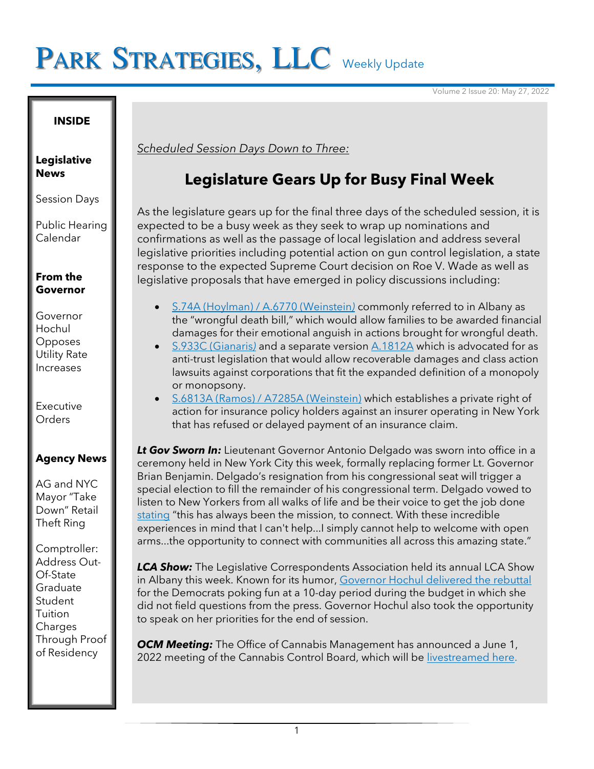# PARK STRATEGIES, LLC Weekly Update

Volume 2 Issue 20: May 27, 2022

#### **INSIDE**

**Legislative News**

Session Days

Public Hearing Calendar

### **From the Governor**

Governor Hochul Opposes Utility Rate Increases

Executive **Orders** 

## **Agency News**

AG and NYC Mayor "Take Down" Retail Theft Ring

Comptroller: Address Out-Of-State Graduate **Student Tuition Charges** Through Proof of Residency

*Scheduled Session Days Down to Three:*

## **Legislature Gears Up for Busy Final Week**

As the legislature gears up for the final three days of the scheduled session, it is expected to be a busy week as they seek to wrap up nominations and confirmations as well as the passage of local legislation and address several legislative priorities including potential action on gun control legislation, a state response to the expected Supreme Court decision on Roe V. Wade as well as legislative proposals that have emerged in policy discussions including:

- [S.74A \(Hoylman\) / A.6770 \(Weinstein](https://www.nysenate.gov/legislation/bills/2021/s74/amendment/original)*)* commonly referred to in Albany as the "wrongful death bill," which would allow families to be awarded financial damages for their emotional anguish in actions brought for wrongful death.
- [S.933C \(Gianaris](https://www.nysenate.gov/legislation/bills/2021/s933/amendment/original)*)* and a separate version [A.1812A](https://www.nysenate.gov/legislation/bills/2021/a1812/amendment/original) which is advocated for as anti-trust legislation that would allow recoverable damages and class action lawsuits against corporations that fit the expanded definition of a monopoly or monopsony.
- [S.6813A \(Ramos\) / A7285A \(Weinstein\)](https://www.nysenate.gov/legislation/bills/2021/s6813/amendment/original) which establishes a private right of action for insurance policy holders against an insurer operating in New York that has refused or delayed payment of an insurance claim.

**Lt Gov Sworn In:** Lieutenant Governor Antonio Delgado was sworn into office in a ceremony held in New York City this week, formally replacing former Lt. Governor Brian Benjamin. Delgado's resignation from his congressional seat will trigger a special election to fill the remainder of his congressional term. Delgado vowed to listen to New Yorkers from all walks of life and be their voice to get the job done [stating](https://cnycentral.com/news/local/rep-antonio-delgado-to-be-sworn-in-as-nys-lieutenant-governor) "this has always been the mission, to connect. With these incredible experiences in mind that I can't help...I simply cannot help to welcome with open arms...the opportunity to connect with communities all across this amazing state."

*LCA Show:* The Legislative Correspondents Association held its annual LCA Show in Albany this week. Known for its humo[r, Governor Hochul delivered the rebuttal](https://www.politico.com/newsletters/new-york-playbook/2022/05/25/about-last-night-00035032) for the Democrats poking fun at a 10-day period during the budget in which she did not field questions from the press. Governor Hochul also took the opportunity to speak on her priorities for the end of session.

*OCM Meeting:* The Office of Cannabis Management has announced a June 1, 2022 meeting of the Cannabis Control Board, which will be [livestreamed here.](https://players.brightcove.net/2886492229001/default_default/index.html?videoId=6193803479001)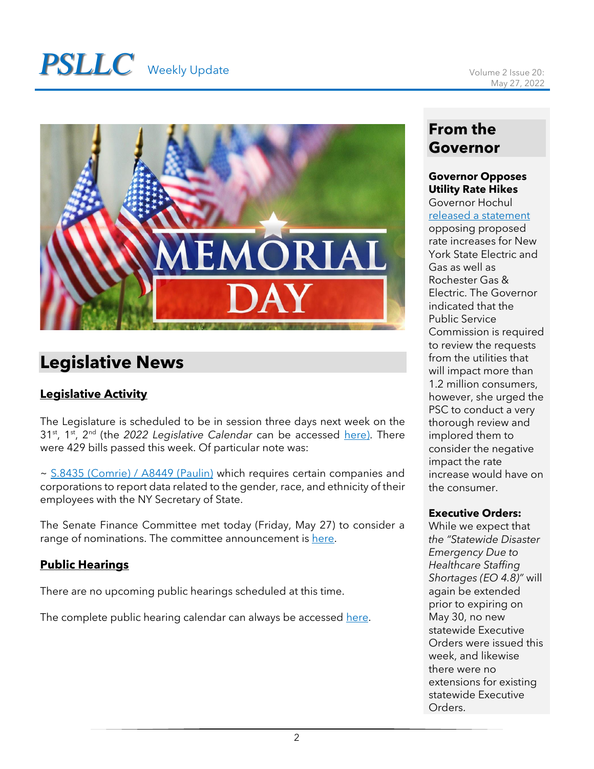# **PSLLC** Weekly Update Volume 2 Issue 20:



# **Legislative News**

## **Legislative Activity**

The Legislature is scheduled to be in session three days next week on the 31st, 1st, 2nd (the *2022 Legislative Calendar* can be accessed [here\)](https://www.nyassembly.gov/leg/docs/sessioncalendar_2022.pdf). There were 429 bills passed this week. Of particular note was:

~ [S.8435 \(Comrie\) / A8449 \(Paulin\)](https://www.nysenate.gov/legislation/bills/2021/s8435) which requires certain companies and corporations to report data related to the gender, race, and ethnicity of their employees with the NY Secretary of State.

The Senate Finance Committee met today (Friday, May 27) to consider a range of nominations. The committee announcement is [here.](https://www.nysenate.gov/calendar/meetings/finance/may-27-2022/finance-meeting)

## **Public Hearings**

There are no upcoming public hearings scheduled at this time.

The complete public hearing calendar can always be accessed [here.](https://www.nyassembly.gov/leg/?sh=hear)

## **From the Governor**

## **Governor Opposes Utility Rate Hikes**

Governor Hochul [released a statement](https://www.governor.ny.gov/news/statement-governor-kathy-hochul-new-york-state-electric-and-gas-and-rochester-gas-electric)

opposing proposed rate increases for New York State Electric and Gas as well as Rochester Gas & Electric. The Governor indicated that the Public Service Commission is required to review the requests from the utilities that will impact more than 1.2 million consumers, however, she urged the PSC to conduct a very thorough review and implored them to consider the negative impact the rate increase would have on the consumer.

## **Executive Orders:**

While we expect that *the "Statewide Disaster Emergency Due to Healthcare Staffing Shortages (EO 4.8)"* will again be extended prior to expiring on May 30, no new statewide Executive Orders were issued this week, and likewise there were no extensions for existing statewide Executive Orders.